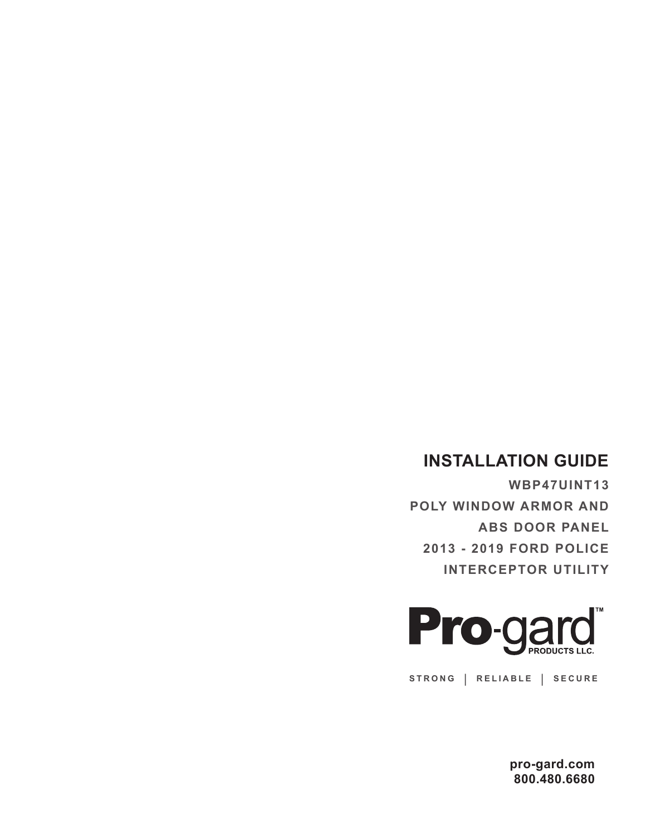## **INSTALLATION GUIDE**

**WBP47UINT13 POLY WINDOW ARMOR AND ABS DOOR PANEL 2013 - 2019 FORD POLICE INTERCEPTOR UTILITY**



**STRONG | RELIABLE | SECURE**

**pro-gard.com 800.480.6680**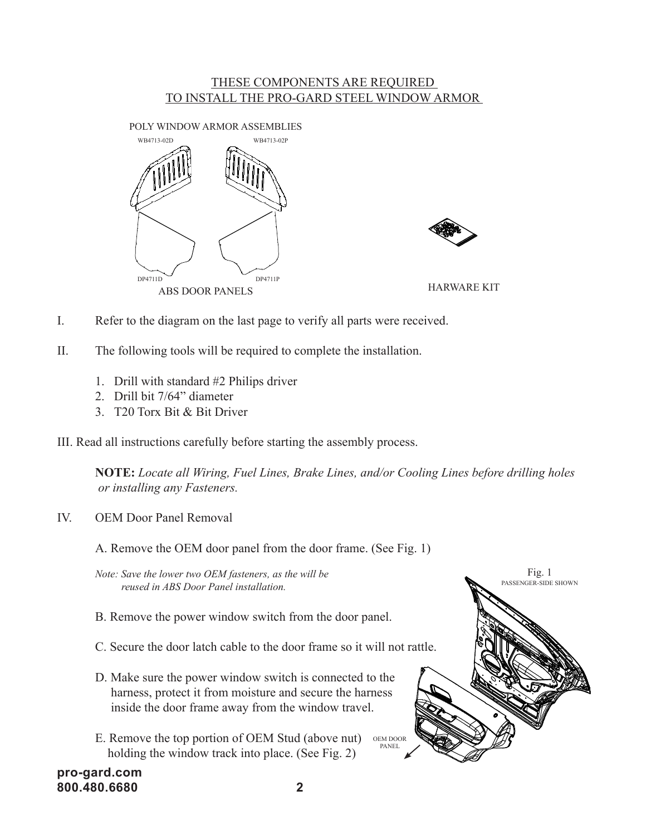## THESE COMPONENTS ARE REQUIRED TO INSTALL THE PRO-GARD STEEL WINDOW ARMOR





- I. Refer to the diagram on the last page to verify all parts were received.
- II. The following tools will be required to complete the installation.
	- 1. Drill with standard #2 Philips driver
	- 2. Drill bit 7/64" diameter
	- 3. T20 Torx Bit & Bit Driver

III. Read all instructions carefully before starting the assembly process.

**NOTE:** *Locate all Wiring, Fuel Lines, Brake Lines, and/or Cooling Lines before drilling holes or installing any Fasteners.*

IV. OEM Door Panel Removal

A. Remove the OEM door panel from the door frame. (See Fig. 1)

*Note: Save the lower two OEM fasteners, as the will be reused in ABS Door Panel installation.*

- B. Remove the power window switch from the door panel.
- C. Secure the door latch cable to the door frame so it will not rattle.
- D. Make sure the power window switch is connected to the harness, protect it from moisture and secure the harness inside the door frame away from the window travel.
- E. Remove the top portion of OEM Stud (above nut) OEM DOOR holding the window track into place. (See Fig. 2) PANEL



**pro-gard.com 800.480.6680 2**